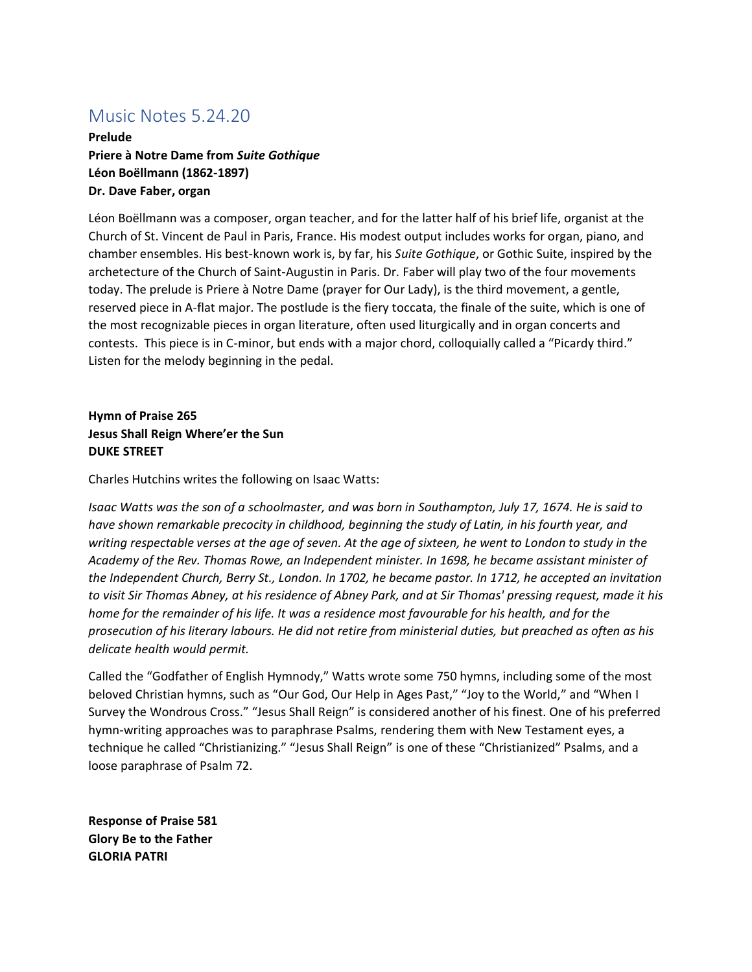## Music Notes 5.24.20

**Prelude Priere à Notre Dame from** *Suite Gothique* **Léon Boëllmann (1862-1897) Dr. Dave Faber, organ** 

Léon Boëllmann was a composer, organ teacher, and for the latter half of his brief life, organist at the Church of St. Vincent de Paul in Paris, France. His modest output includes works for organ, piano, and chamber ensembles. His best-known work is, by far, his *Suite Gothique*, or Gothic Suite, inspired by the archetecture of the Church of Saint-Augustin in Paris. Dr. Faber will play two of the four movements today. The prelude is Priere à Notre Dame (prayer for Our Lady), is the third movement, a gentle, reserved piece in A-flat major. The postlude is the fiery toccata, the finale of the suite, which is one of the most recognizable pieces in organ literature, often used liturgically and in organ concerts and contests. This piece is in C-minor, but ends with a major chord, colloquially called a "Picardy third." Listen for the melody beginning in the pedal.

## **Hymn of Praise 265 Jesus Shall Reign Where'er the Sun DUKE STREET**

Charles Hutchins writes the following on Isaac Watts:

*Isaac Watts was the son of a schoolmaster, and was born in Southampton, July 17, 1674. He is said to have shown remarkable precocity in childhood, beginning the study of Latin, in his fourth year, and writing respectable verses at the age of seven. At the age of sixteen, he went to London to study in the Academy of the Rev. Thomas Rowe, an Independent minister. In 1698, he became assistant minister of the Independent Church, Berry St., London. In 1702, he became pastor. In 1712, he accepted an invitation to visit Sir Thomas Abney, at his residence of Abney Park, and at Sir Thomas' pressing request, made it his home for the remainder of his life. It was a residence most favourable for his health, and for the prosecution of his literary labours. He did not retire from ministerial duties, but preached as often as his delicate health would permit.*

Called the "Godfather of English Hymnody," Watts wrote some 750 hymns, including some of the most beloved Christian hymns, such as "Our God, Our Help in Ages Past," "Joy to the World," and "When I Survey the Wondrous Cross." "Jesus Shall Reign" is considered another of his finest. One of his preferred hymn-writing approaches was to paraphrase Psalms, rendering them with New Testament eyes, a technique he called "Christianizing." "Jesus Shall Reign" is one of these "Christianized" Psalms, and a loose paraphrase of Psalm 72.

**Response of Praise 581 Glory Be to the Father GLORIA PATRI**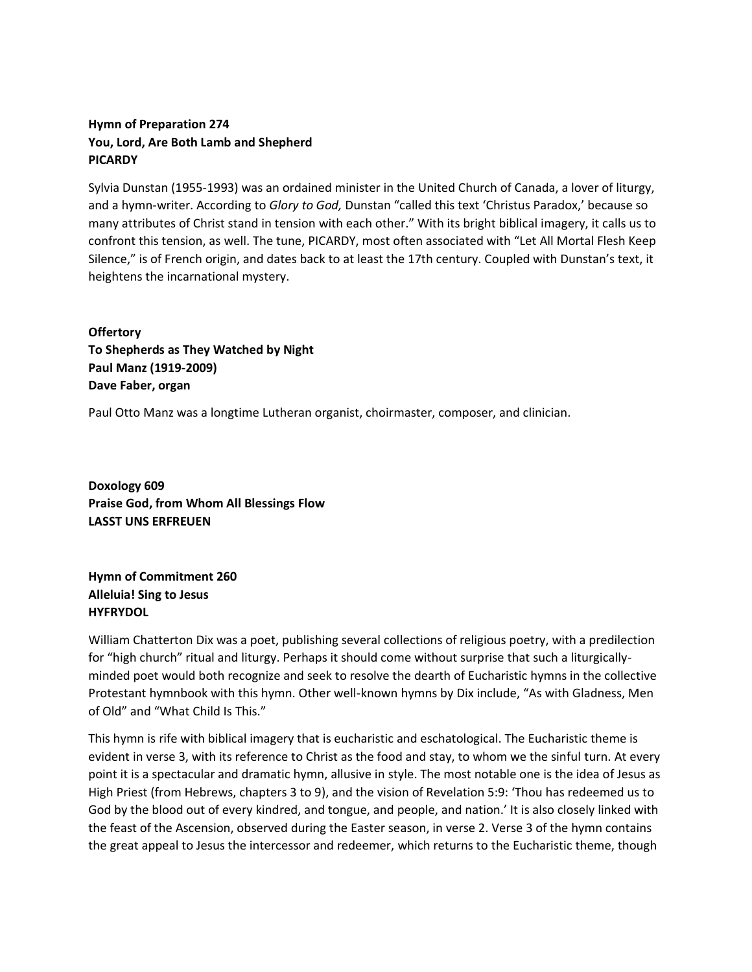## **Hymn of Preparation 274 You, Lord, Are Both Lamb and Shepherd PICARDY**

Sylvia Dunstan (1955-1993) was an ordained minister in the United Church of Canada, a lover of liturgy, and a hymn-writer. According to *Glory to God,* Dunstan "called this text 'Christus Paradox,' because so many attributes of Christ stand in tension with each other." With its bright biblical imagery, it calls us to confront this tension, as well. The tune, PICARDY, most often associated with "Let All Mortal Flesh Keep Silence," is of French origin, and dates back to at least the 17th century. Coupled with Dunstan's text, it heightens the incarnational mystery.

**Offertory To Shepherds as They Watched by Night Paul Manz (1919-2009) Dave Faber, organ** 

Paul Otto Manz was a longtime Lutheran organist, choirmaster, composer, and clinician.

**Doxology 609 Praise God, from Whom All Blessings Flow LASST UNS ERFREUEN** 

**Hymn of Commitment 260 Alleluia! Sing to Jesus HYFRYDOL** 

William Chatterton Dix was a poet, publishing several collections of religious poetry, with a predilection for "high church" ritual and liturgy. Perhaps it should come without surprise that such a liturgicallyminded poet would both recognize and seek to resolve the dearth of Eucharistic hymns in the collective Protestant hymnbook with this hymn. Other well-known hymns by Dix include, "As with Gladness, Men of Old" and "What Child Is This."

This hymn is rife with biblical imagery that is eucharistic and eschatological. The Eucharistic theme is evident in verse 3, with its reference to Christ as the food and stay, to whom we the sinful turn. At every point it is a spectacular and dramatic hymn, allusive in style. The most notable one is the idea of Jesus as High Priest (from Hebrews, chapters 3 to 9), and the vision of Revelation 5:9: 'Thou has redeemed us to God by the blood out of every kindred, and tongue, and people, and nation.' It is also closely linked with the feast of the Ascension, observed during the Easter season, in verse 2. Verse 3 of the hymn contains the great appeal to Jesus the intercessor and redeemer, which returns to the Eucharistic theme, though